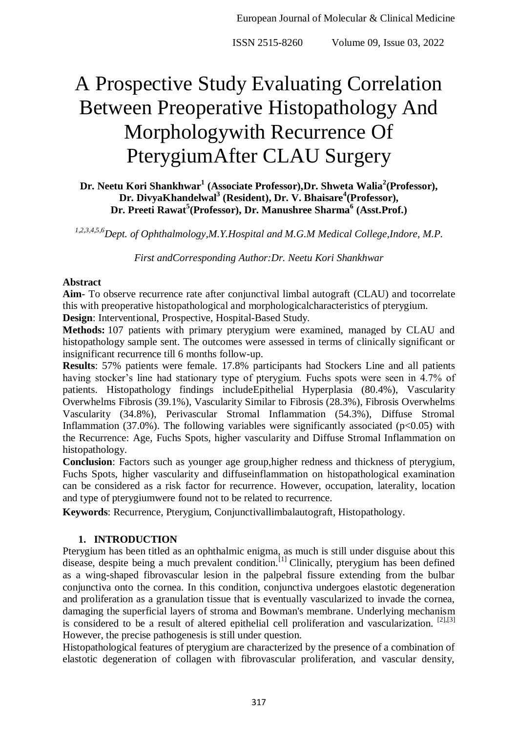# A Prospective Study Evaluating Correlation Between Preoperative Histopathology And Morphologywith Recurrence Of PterygiumAfter CLAU Surgery

# **Dr. Neetu Kori Shankhwar<sup>1</sup> (Associate Professor),Dr. Shweta Walia<sup>2</sup> (Professor), Dr. DivyaKhandelwal<sup>3</sup> (Resident), Dr. V. Bhaisare<sup>4</sup> (Professor), Dr. Preeti Rawat<sup>5</sup> (Professor), Dr. Manushree Sharma<sup>6</sup> (Asst.Prof.)**

*1,2,3,4,5,6Dept. of Ophthalmology,M.Y.Hospital and M.G.M Medical College,Indore, M.P.*

*First andCorresponding Author:Dr. Neetu Kori Shankhwar*

## **Abstract**

**Aim**- To observe recurrence rate after conjunctival limbal autograft (CLAU) and tocorrelate this with preoperative histopathological and morphologicalcharacteristics of pterygium.

**Design**: Interventional, Prospective, Hospital-Based Study.

**Methods:** 107 patients with primary pterygium were examined, managed by CLAU and histopathology sample sent. The outcomes were assessed in terms of clinically significant or insignificant recurrence till 6 months follow-up.

**Results**: 57% patients were female. 17.8% participants had Stockers Line and all patients having stocker's line had stationary type of pterygium. Fuchs spots were seen in 4.7% of patients. Histopathology findings includeEpithelial Hyperplasia (80.4%), Vascularity Overwhelms Fibrosis (39.1%), Vascularity Similar to Fibrosis (28.3%), Fibrosis Overwhelms Vascularity (34.8%), Perivascular Stromal Inflammation (54.3%), Diffuse Stromal Inflammation (37.0%). The following variables were significantly associated ( $p<0.05$ ) with the Recurrence: Age, Fuchs Spots, higher vascularity and Diffuse Stromal Inflammation on histopathology.

**Conclusion**: Factors such as younger age group,higher redness and thickness of pterygium, Fuchs Spots, higher vascularity and diffuseinflammation on histopathological examination can be considered as a risk factor for recurrence. However, occupation, laterality, location and type of pterygiumwere found not to be related to recurrence.

**Keywords**: Recurrence, Pterygium, Conjunctivallimbalautograft, Histopathology.

# **1. INTRODUCTION**

Pterygium has been titled as an ophthalmic enigma, as much is still under disguise about this disease, despite being a much prevalent condition.<sup>[1]</sup> Clinically, pterygium has been defined as a wing-shaped fibrovascular lesion in the palpebral fissure extending from the bulbar conjunctiva onto the cornea. In this condition, conjunctiva undergoes elastotic degeneration and proliferation as a granulation tissue that is eventually vascularized to invade the cornea, damaging the superficial layers of stroma and Bowman's membrane. Underlying mechanism is considered to be a result of altered epithelial cell proliferation and vascularization.  $[2]$ , $[3]$ However, the precise pathogenesis is still under question.

Histopathological features of pterygium are characterized by the presence of a combination of elastotic degeneration of collagen with fibrovascular proliferation, and vascular density,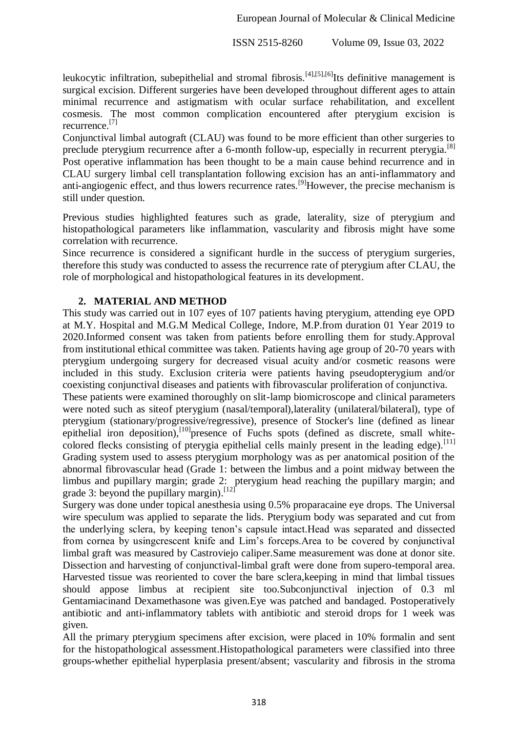leukocytic infiltration, subepithelial and stromal fibrosis.<sup>[4],[5],[6]</sup>Its definitive management is surgical excision. Different surgeries have been developed throughout different ages to attain minimal recurrence and astigmatism with ocular surface rehabilitation, and excellent cosmesis. The most common complication encountered after pterygium excision is recurrence.[7]

Conjunctival limbal autograft (CLAU) was found to be more efficient than other surgeries to preclude pterygium recurrence after a 6-month follow-up, especially in recurrent pterygia.<sup>[8]</sup> Post operative inflammation has been thought to be a main cause behind recurrence and in CLAU surgery limbal cell transplantation following excision has an anti-inflammatory and anti-angiogenic effect, and thus lowers recurrence rates.<sup>[9]</sup>However, the precise mechanism is still under question.

Previous studies highlighted features such as grade, laterality, size of pterygium and histopathological parameters like inflammation, vascularity and fibrosis might have some correlation with recurrence.

Since recurrence is considered a significant hurdle in the success of pterygium surgeries, therefore this study was conducted to assess the recurrence rate of pterygium after CLAU, the role of morphological and histopathological features in its development.

## **2. MATERIAL AND METHOD**

This study was carried out in 107 eyes of 107 patients having pterygium, attending eye OPD at M.Y. Hospital and M.G.M Medical College, Indore, M.P.from duration 01 Year 2019 to 2020.Informed consent was taken from patients before enrolling them for study.Approval from institutional ethical committee was taken. Patients having age group of 20-70 years with pterygium undergoing surgery for decreased visual acuity and/or cosmetic reasons were included in this study. Exclusion criteria were patients having pseudopterygium and/or coexisting conjunctival diseases and patients with fibrovascular proliferation of conjunctiva.

These patients were examined thoroughly on slit-lamp biomicroscope and clinical parameters were noted such as siteof pterygium (nasal/temporal),laterality (unilateral/bilateral), type of pterygium (stationary/progressive/regressive), presence of Stocker's line (defined as linear epithelial iron deposition),<sup>[10]</sup>presence of Fuchs spots (defined as discrete, small whitecolored flecks consisting of pterygia epithelial cells mainly present in the leading edge).<sup>[11]</sup> Grading system used to assess pterygium morphology was as per anatomical position of the abnormal fibrovascular head (Grade 1: between the limbus and a point midway between the limbus and pupillary margin; grade 2: pterygium head reaching the pupillary margin; and grade 3: beyond the pupillary margin). [12]

Surgery was done under topical anesthesia using 0.5% proparacaine eye drops. The Universal wire speculum was applied to separate the lids. Pterygium body was separated and cut from the underlying sclera, by keeping tenon's capsule intact.Head was separated and dissected from cornea by usingcrescent knife and Lim's forceps.Area to be covered by conjunctival limbal graft was measured by Castroviejo caliper.Same measurement was done at donor site. Dissection and harvesting of conjunctival-limbal graft were done from supero-temporal area. Harvested tissue was reoriented to cover the bare sclera,keeping in mind that limbal tissues should appose limbus at recipient site too.Subconjunctival injection of 0.3 ml Gentamiacinand Dexamethasone was given.Eye was patched and bandaged. Postoperatively antibiotic and anti-inflammatory tablets with antibiotic and steroid drops for 1 week was given.

All the primary pterygium specimens after excision, were placed in 10% formalin and sent for the histopathological assessment.Histopathological parameters were classified into three groups-whether epithelial hyperplasia present/absent; vascularity and fibrosis in the stroma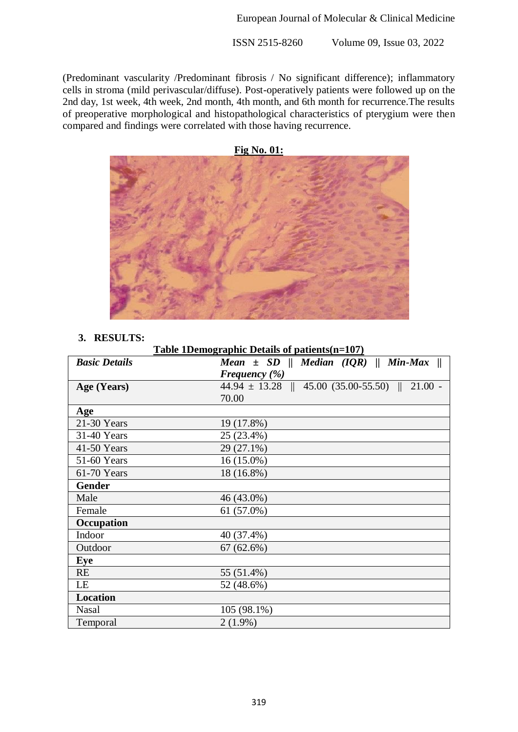(Predominant vascularity /Predominant fibrosis / No significant difference); inflammatory cells in stroma (mild perivascular/diffuse). Post-operatively patients were followed up on the 2nd day, 1st week, 4th week, 2nd month, 4th month, and 6th month for recurrence.The results of preoperative morphological and histopathological characteristics of pterygium were then compared and findings were correlated with those having recurrence.



#### **3. RESULTS:**

**Table 1Demographic Details of patients(n=107)**

| <b>Basic Details</b> | Mean $\pm$ SD    Median (IQR)    Min-Max              |
|----------------------|-------------------------------------------------------|
|                      | Frequency $(\%)$                                      |
| Age (Years)          | $44.94 \pm 13.28$    $45.00$ (35.00-55.50)    21.00 - |
|                      | 70.00                                                 |
| Age                  |                                                       |
| 21-30 Years          | 19 (17.8%)                                            |
| 31-40 Years          | 25 (23.4%)                                            |
| 41-50 Years          | 29 (27.1%)                                            |
| 51-60 Years          | 16 (15.0%)                                            |
| 61-70 Years          | 18 (16.8%)                                            |
| <b>Gender</b>        |                                                       |
| Male                 | 46 (43.0%)                                            |
| Female               | $61(57.0\%)$                                          |
| Occupation           |                                                       |
| Indoor               | 40 (37.4%)                                            |
| Outdoor              | $67(62.6\%)$                                          |
| Eye                  |                                                       |
| <b>RE</b>            | 55 (51.4%)                                            |
| LE                   | 52 (48.6%)                                            |
| Location             |                                                       |
| <b>Nasal</b>         | 105 (98.1%)                                           |
| Temporal             | $2(1.9\%)$                                            |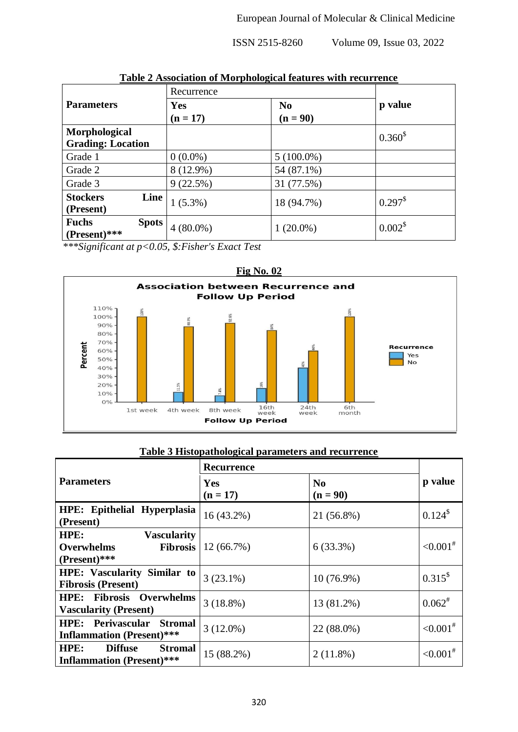|                                              | -----<br>Recurrence |                |                    |
|----------------------------------------------|---------------------|----------------|--------------------|
| <b>Parameters</b>                            | Yes                 | N <sub>0</sub> | p value            |
|                                              | $(n = 17)$          | $(n = 90)$     |                    |
| Morphological<br><b>Grading: Location</b>    |                     |                | $0.360^{\$}$       |
| Grade 1                                      | $0(0.0\%)$          | $5(100.0\%)$   |                    |
| Grade 2                                      | 8 (12.9%)           | 54 (87.1%)     |                    |
| Grade 3                                      | 9(22.5%)            | 31 (77.5%)     |                    |
| <b>Stockers</b><br><b>Line</b><br>(Present)  | $1(5.3\%)$          | 18 (94.7%)     | $0.297^{\$}$       |
| <b>Fuchs</b><br><b>Spots</b><br>(Present)*** | $4(80.0\%)$         | $1(20.0\%)$    | 0.002 <sup>8</sup> |

**Table 2 Association of Morphological features with recurrence**

*\*\*\*Significant at p<0.05, \$:Fisher's Exact Test*



# **Table 3 Histopathological parameters and recurrence**

|                                                                                      | <b>Recurrence</b> |                              |                 |
|--------------------------------------------------------------------------------------|-------------------|------------------------------|-----------------|
| <b>Parameters</b>                                                                    | Yes<br>$(n = 17)$ | N <sub>0</sub><br>$(n = 90)$ | p value         |
| HPE: Epithelial Hyperplasia<br>(Present)                                             | $16(43.2\%)$      | 21 (56.8%)                   | $0.124^{\$}$    |
| HPE:<br><b>Vascularity</b><br><b>Overwhelms</b><br><b>Fibrosis</b><br>$(Present)***$ | $12(66.7\%)$      | $6(33.3\%)$                  | ${<}0.001^{\#}$ |
| <b>HPE:</b> Vascularity Similar to<br><b>Fibrosis (Present)</b>                      | $3(23.1\%)$       | 10 (76.9%)                   | $0.315^{\$}$    |
| HPE: Fibrosis Overwhelms<br><b>Vascularity (Present)</b>                             | $3(18.8\%)$       | 13 (81.2%)                   | $0.062^{#}$     |
| <b>HPE:</b> Perivascular Stromal<br><b>Inflammation</b> (Present)***                 | $3(12.0\%)$       | 22 (88.0%)                   | ${<}0.001^{\#}$ |
| HPE:<br><b>Diffuse</b><br><b>Stromal</b><br><b>Inflammation</b> (Present)***         | 15 (88.2%)        | $2(11.8\%)$                  | ${<}0.001^{\#}$ |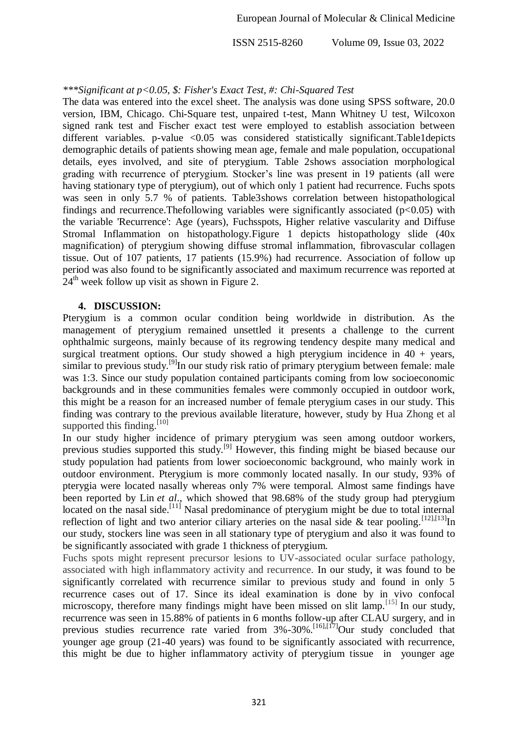#### *\*\*\*Significant at p<0.05, \$: Fisher's Exact Test, #: Chi-Squared Test*

The data was entered into the excel sheet. The analysis was done using SPSS software, 20.0 version, IBM, Chicago. Chi-Square test, unpaired t-test, Mann Whitney U test, Wilcoxon signed rank test and Fischer exact test were employed to establish association between different variables. p-value  $\langle 0.05 \rangle$  was considered statistically significant. Table1 depicts demographic details of patients showing mean age, female and male population, occupational details, eyes involved, and site of pterygium. Table 2shows association morphological grading with recurrence of pterygium. Stocker's line was present in 19 patients (all were having stationary type of pterygium), out of which only 1 patient had recurrence. Fuchs spots was seen in only 5.7 % of patients. Table3shows correlation between histopathological findings and recurrence. The following variables were significantly associated ( $p<0.05$ ) with the variable 'Recurrence': Age (years), Fuchsspots, Higher relative vascularity and Diffuse Stromal Inflammation on histopathology.Figure 1 depicts histopathology slide (40x magnification) of pterygium showing diffuse stromal inflammation, fibrovascular collagen tissue. Out of 107 patients, 17 patients (15.9%) had recurrence. Association of follow up period was also found to be significantly associated and maximum recurrence was reported at  $24<sup>th</sup>$  week follow up visit as shown in Figure 2.

## **4. DISCUSSION:**

Pterygium is a common ocular condition being worldwide in distribution. As the management of pterygium remained unsettled it presents a challenge to the current ophthalmic surgeons, mainly because of its regrowing tendency despite many medical and surgical treatment options. Our study showed a high pterygium incidence in  $40 + \text{years}$ , similar to previous study.<sup>[9]</sup>In our study risk ratio of primary pterygium between female: male was 1:3. Since our study population contained participants coming from low socioeconomic backgrounds and in these communities females were commonly occupied in outdoor work, this might be a reason for an increased number of female pterygium cases in our study. This finding was contrary to the previous available literature, however, study by Hua Zhong et al supported this finding.<sup>[10]</sup>

In our study higher incidence of primary pterygium was seen among outdoor workers, previous studies supported this study.[9] However, this finding might be biased because our study population had patients from lower socioeconomic background, who mainly work in outdoor environment. Pterygium is more commonly located nasally. In our study, 93% of pterygia were located nasally whereas only 7% were temporal. Almost same findings have been reported by Lin *et al*., which showed that 98.68% of the study group had pterygium located on the nasal side.<sup>[11]</sup> Nasal predominance of pterygium might be due to total internal reflection of light and two anterior ciliary arteries on the nasal side & tear pooling.  $^{[12],[13]}$ In our study, stockers line was seen in all stationary type of pterygium and also it was found to be significantly associated with grade 1 thickness of pterygium.

Fuchs spots might represent precursor lesions to UV-associated ocular surface pathology, associated with high inflammatory activity and recurrence. In our study, it was found to be significantly correlated with recurrence similar to previous study and found in only 5 recurrence cases out of 17. Since its ideal examination is done by in vivo confocal microscopy, therefore many findings might have been missed on slit lamp.  $[15]$  In our study, recurrence was seen in 15.88% of patients in 6 months follow-up after CLAU surgery, and in previous studies recurrence rate varied from  $3\% -30\%$ .<sup>[16],[17]</sup>Our study concluded that younger age group (21-40 years) was found to be significantly associated with recurrence, this might be due to higher inflammatory activity of pterygium tissue in younger age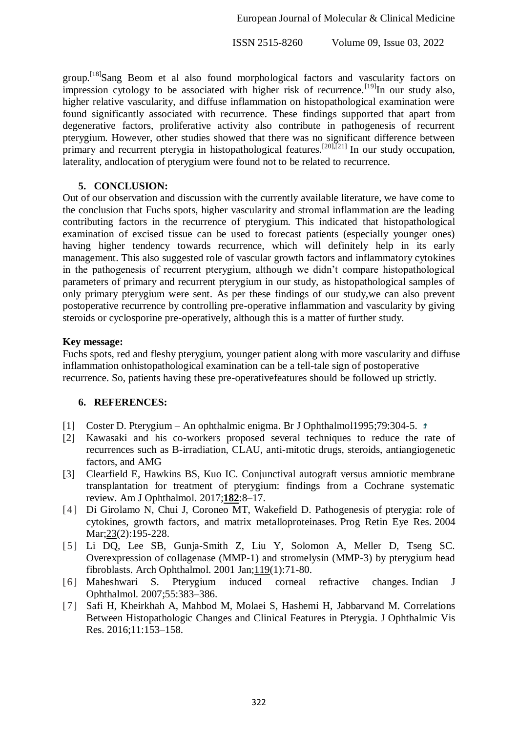group.<sup>[18]</sup>Sang Beom et al also found morphological factors and vascularity factors on impression cytology to be associated with higher risk of recurrence.<sup>[19]</sup>In our study also, higher relative vascularity, and diffuse inflammation on histopathological examination were found significantly associated with recurrence. These findings supported that apart from degenerative factors, proliferative activity also contribute in pathogenesis of recurrent pterygium. However, other studies showed that there was no significant difference between primary and recurrent pterygia in histopathological features.[20],[21] In our study occupation, laterality, andlocation of pterygium were found not to be related to recurrence.

## **5. CONCLUSION:**

Out of our observation and discussion with the currently available literature, we have come to the conclusion that Fuchs spots, higher vascularity and stromal inflammation are the leading contributing factors in the recurrence of pterygium. This indicated that histopathological examination of excised tissue can be used to forecast patients (especially younger ones) having higher tendency towards recurrence, which will definitely help in its early management. This also suggested role of vascular growth factors and inflammatory cytokines in the pathogenesis of recurrent pterygium, although we didn't compare histopathological parameters of primary and recurrent pterygium in our study, as histopathological samples of only primary pterygium were sent. As per these findings of our study,we can also prevent postoperative recurrence by controlling pre-operative inflammation and vascularity by giving steroids or cyclosporine pre-operatively, although this is a matter of further study.

## **Key message:**

Fuchs spots, red and fleshy pterygium, younger patient along with more vascularity and diffuse inflammation onhistopathological examination can be a tell-tale sign of postoperative recurrence. So, patients having these pre-operativefeatures should be followed up strictly.

#### **6. REFERENCES:**

- [1] Coster D. Pterygium An ophthalmic enigma. Br J Ophthalmol1995;79:304-5.
- [2] Kawasaki and his co-workers proposed several techniques to reduce the rate of recurrences such as B-irradiation, CLAU, anti-mitotic drugs, steroids, antiangiogenetic factors, and AMG
- [3] Clearfield E, Hawkins BS, Kuo IC. Conjunctival autograft versus amniotic membrane transplantation for treatment of pterygium: findings from a Cochrane systematic review. Am J Ophthalmol. 2017;**182**:8–17.
- [4] Di Girolamo N, Chui J, Coroneo MT, Wakefield D. Pathogenesis of pterygia: role of cytokines, growth factors, and matrix metalloproteinases. Prog Retin Eye Res. 2004 Mar; 23(2): 195-228.
- [5] Li DQ, Lee SB, Gunja-Smith Z, Liu Y, Solomon A, Meller D, Tseng SC. Overexpression of collagenase (MMP-1) and stromelysin (MMP-3) by pterygium head fibroblasts. Arch Ophthalmol. 2001 Jan;119(1):71-80.
- [6] Maheshwari S. Pterygium induced corneal refractive changes. Indian J Ophthalmol. 2007;55:383–386.
- [7] Safi H, Kheirkhah A, Mahbod M, Molaei S, Hashemi H, Jabbarvand M. Correlations Between Histopathologic Changes and Clinical Features in Pterygia. J Ophthalmic Vis Res. 2016;11:153–158.